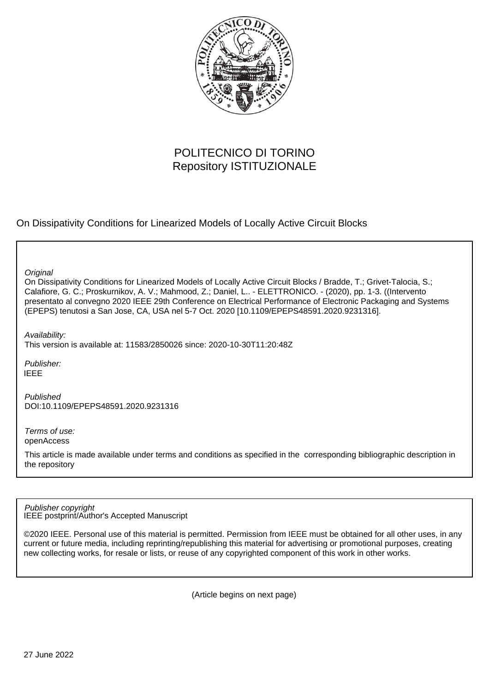

# POLITECNICO DI TORINO Repository ISTITUZIONALE

On Dissipativity Conditions for Linearized Models of Locally Active Circuit Blocks

**Original** 

On Dissipativity Conditions for Linearized Models of Locally Active Circuit Blocks / Bradde, T.; Grivet-Talocia, S.; Calafiore, G. C.; Proskurnikov, A. V.; Mahmood, Z.; Daniel, L.. - ELETTRONICO. - (2020), pp. 1-3. ((Intervento presentato al convegno 2020 IEEE 29th Conference on Electrical Performance of Electronic Packaging and Systems (EPEPS) tenutosi a San Jose, CA, USA nel 5-7 Oct. 2020 [10.1109/EPEPS48591.2020.9231316].

Availability:

This version is available at: 11583/2850026 since: 2020-10-30T11:20:48Z

Publisher: IEEE

Published DOI:10.1109/EPEPS48591.2020.9231316

Terms of use: openAccess

This article is made available under terms and conditions as specified in the corresponding bibliographic description in the repository

IEEE postprint/Author's Accepted Manuscript Publisher copyright

©2020 IEEE. Personal use of this material is permitted. Permission from IEEE must be obtained for all other uses, in any current or future media, including reprinting/republishing this material for advertising or promotional purposes, creating new collecting works, for resale or lists, or reuse of any copyrighted component of this work in other works.

(Article begins on next page)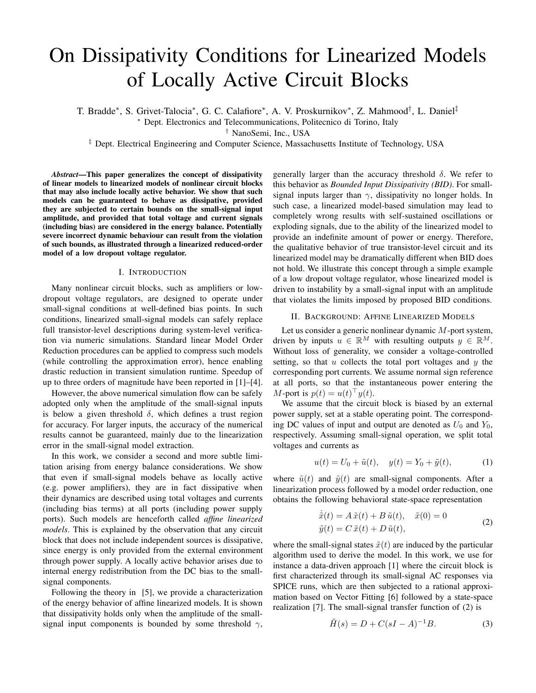# On Dissipativity Conditions for Linearized Models of Locally Active Circuit Blocks

T. Bradde<sup>∗</sup>, S. Grivet-Talocia<sup>∗</sup>, G. C. Calafiore<sup>∗</sup>, A. V. Proskurnikov<sup>∗</sup>, Z. Mahmood<sup>†</sup>, L. Daniel<sup>‡</sup>

<sup>∗</sup> Dept. Electronics and Telecommunications, Politecnico di Torino, Italy

† NanoSemi, Inc., USA

‡ Dept. Electrical Engineering and Computer Science, Massachusetts Institute of Technology, USA

*Abstract*—This paper generalizes the concept of dissipativity of linear models to linearized models of nonlinear circuit blocks that may also include locally active behavior. We show that such models can be guaranteed to behave as dissipative, provided they are subjected to certain bounds on the small-signal input amplitude, and provided that total voltage and current signals (including bias) are considered in the energy balance. Potentially severe incorrect dynamic behaviour can result from the violation of such bounds, as illustrated through a linearized reduced-order model of a low dropout voltage regulator.

## I. INTRODUCTION

Many nonlinear circuit blocks, such as amplifiers or lowdropout voltage regulators, are designed to operate under small-signal conditions at well-defined bias points. In such conditions, linearized small-signal models can safely replace full transistor-level descriptions during system-level verification via numeric simulations. Standard linear Model Order Reduction procedures can be applied to compress such models (while controlling the approximation error), hence enabling drastic reduction in transient simulation runtime. Speedup of up to three orders of magnitude have been reported in [1]–[4].

However, the above numerical simulation flow can be safely adopted only when the amplitude of the small-signal inputs is below a given threshold  $\delta$ , which defines a trust region for accuracy. For larger inputs, the accuracy of the numerical results cannot be guaranteed, mainly due to the linearization error in the small-signal model extraction.

In this work, we consider a second and more subtle limitation arising from energy balance considerations. We show that even if small-signal models behave as locally active (e.g. power amplifiers), they are in fact dissipative when their dynamics are described using total voltages and currents (including bias terms) at all ports (including power supply ports). Such models are henceforth called *affine linearized models*. This is explained by the observation that any circuit block that does not include independent sources is dissipative, since energy is only provided from the external environment through power supply. A locally active behavior arises due to internal energy redistribution from the DC bias to the smallsignal components.

Following the theory in [5], we provide a characterization of the energy behavior of affine linearized models. It is shown that dissipativity holds only when the amplitude of the smallsignal input components is bounded by some threshold  $\gamma$ ,

generally larger than the accuracy threshold  $\delta$ . We refer to this behavior as *Bounded Input Dissipativity (BID)*. For smallsignal inputs larger than  $\gamma$ , dissipativity no longer holds. In such case, a linearized model-based simulation may lead to completely wrong results with self-sustained oscillations or exploding signals, due to the ability of the linearized model to provide an indefinite amount of power or energy. Therefore, the qualitative behavior of true transistor-level circuit and its linearized model may be dramatically different when BID does not hold. We illustrate this concept through a simple example of a low dropout voltage regulator, whose linearized model is driven to instability by a small-signal input with an amplitude that violates the limits imposed by proposed BID conditions.

## II. BACKGROUND: AFFINE LINEARIZED MODELS

Let us consider a generic nonlinear dynamic M-port system, driven by inputs  $u \in \mathbb{R}^M$  with resulting outputs  $y \in \mathbb{R}^M$ . Without loss of generality, we consider a voltage-controlled setting, so that  $u$  collects the total port voltages and  $y$  the corresponding port currents. We assume normal sign reference at all ports, so that the instantaneous power entering the M-port is  $p(t) = u(t)^\top y(t)$ .

We assume that the circuit block is biased by an external power supply, set at a stable operating point. The corresponding DC values of input and output are denoted as  $U_0$  and  $Y_0$ , respectively. Assuming small-signal operation, we split total voltages and currents as

$$
u(t) = U_0 + \tilde{u}(t), \quad y(t) = Y_0 + \tilde{y}(t), \tag{1}
$$

where  $\tilde{u}(t)$  and  $\tilde{y}(t)$  are small-signal components. After a linearization process followed by a model order reduction, one obtains the following behavioral state-space representation

$$
\dot{\tilde{x}}(t) = A \tilde{x}(t) + B \tilde{u}(t), \quad \tilde{x}(0) = 0
$$
  

$$
\tilde{y}(t) = C \tilde{x}(t) + D \tilde{u}(t),
$$
 (2)

where the small-signal states  $\tilde{x}(t)$  are induced by the particular algorithm used to derive the model. In this work, we use for instance a data-driven approach [1] where the circuit block is first characterized through its small-signal AC responses via SPICE runs, which are then subjected to a rational approximation based on Vector Fitting [6] followed by a state-space realization [7]. The small-signal transfer function of (2) is

$$
\tilde{H}(s) = D + C(sI - A)^{-1}B.
$$
 (3)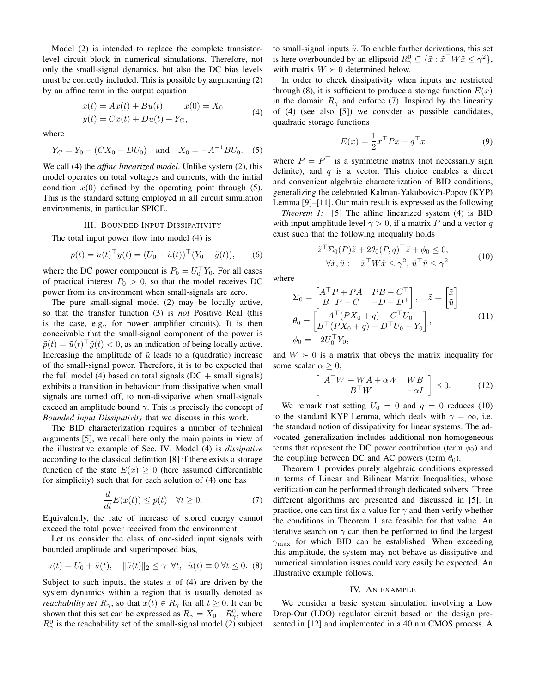Model (2) is intended to replace the complete transistorlevel circuit block in numerical simulations. Therefore, not only the small-signal dynamics, but also the DC bias levels must be correctly included. This is possible by augmenting (2) by an affine term in the output equation

$$
\begin{aligned} \dot{x}(t) &= Ax(t) + Bu(t), & x(0) &= X_0 \\ y(t) &= Cx(t) + Du(t) + Y_C, \end{aligned} \tag{4}
$$

where

$$
Y_C = Y_0 - (CX_0 + DU_0)
$$
 and  $X_0 = -A^{-1}BU_0$ . (5)

We call (4) the *affine linearized model*. Unlike system (2), this model operates on total voltages and currents, with the initial condition  $x(0)$  defined by the operating point through (5). This is the standard setting employed in all circuit simulation environments, in particular SPICE.

## III. BOUNDED INPUT DISSIPATIVITY

The total input power flow into model (4) is

$$
p(t) = u(t)^{\top} y(t) = (U_0 + \tilde{u}(t))^{\top} (Y_0 + \tilde{y}(t)),
$$
 (6)

where the DC power component is  $P_0 = U_0^{\top} Y_0$ . For all cases of practical interest  $P_0 > 0$ , so that the model receives DC power from its environment when small-signals are zero.

The pure small-signal model (2) may be locally active, so that the transfer function (3) is *not* Positive Real (this is the case, e.g., for power amplifier circuits). It is then conceivable that the small-signal component of the power is  $\tilde{p}(t) = \tilde{u}(t)^\top \tilde{y}(t) < 0$ , as an indication of being locally active. Increasing the amplitude of  $\tilde{u}$  leads to a (quadratic) increase of the small-signal power. Therefore, it is to be expected that the full model (4) based on total signals ( $DC + small$  signals) exhibits a transition in behaviour from dissipative when small signals are turned off, to non-dissipative when small-signals exceed an amplitude bound  $\gamma$ . This is precisely the concept of *Bounded Input Dissipativity* that we discuss in this work.

The BID characterization requires a number of technical arguments [5], we recall here only the main points in view of the illustrative example of Sec. IV. Model (4) is *dissipative* according to the classical definition [8] if there exists a storage function of the state  $E(x) \geq 0$  (here assumed differentiable for simplicity) such that for each solution of (4) one has

$$
\frac{d}{dt}E(x(t)) \le p(t) \quad \forall t \ge 0.
$$
\n(7)

Equivalently, the rate of increase of stored energy cannot exceed the total power received from the environment.

Let us consider the class of one-sided input signals with bounded amplitude and superimposed bias,

$$
u(t) = U_0 + \tilde{u}(t), \quad \|\tilde{u}(t)\|_2 \le \gamma \quad \forall t, \quad \tilde{u}(t) \equiv 0 \quad \forall t \le 0. \tag{8}
$$

Subject to such inputs, the states  $x$  of (4) are driven by the system dynamics within a region that is usually denoted as *reachability set*  $R_{\gamma}$ , so that  $x(t) \in R_{\gamma}$  for all  $t \geq 0$ . It can be shown that this set can be expressed as  $R_{\gamma} = X_0 + R_{\gamma}^0$ , where  $R_{\gamma}^{0}$  is the reachability set of the small-signal model (2) subject to small-signal inputs  $\tilde{u}$ . To enable further derivations, this set is here overbounded by an ellipsoid  $R^0_\gamma \subseteq \{ \tilde{x} : \tilde{x}^\top W \tilde{x} \leq \gamma^2 \},$ with matrix  $W \succ 0$  determined below.

In order to check dissipativity when inputs are restricted through (8), it is sufficient to produce a storage function  $E(x)$ in the domain  $R_{\gamma}$  and enforce (7). Inspired by the linearity of (4) (see also [5]) we consider as possible candidates, quadratic storage functions

$$
E(x) = \frac{1}{2}x^{\top}Px + q^{\top}x \tag{9}
$$

where  $P = P<sup>T</sup>$  is a symmetric matrix (not necessarily sign definite), and  $q$  is a vector. This choice enables a direct and convenient algebraic characterization of BID conditions, generalizing the celebrated Kalman-Yakubovich-Popov (KYP) Lemma [9]–[11]. Our main result is expressed as the following

*Theorem 1:* [5] The affine linearized system (4) is BID with input amplitude level  $\gamma > 0$ , if a matrix P and a vector q exist such that the following inequality holds

$$
\tilde{z}^{\top} \Sigma_0(P) \tilde{z} + 2\theta_0(P, q)^{\top} \tilde{z} + \phi_0 \le 0,
$$
  

$$
\forall \tilde{x}, \tilde{u} : \tilde{x}^{\top} W \tilde{x} \le \gamma^2, \tilde{u}^{\top} \tilde{u} \le \gamma^2
$$
 (10)

where

$$
\Sigma_0 = \begin{bmatrix} A^\top P + PA & PB - C^\top \\ B^\top P - C & -D - D^\top \end{bmatrix}, \quad \tilde{z} = \begin{bmatrix} \tilde{x} \\ \tilde{u} \end{bmatrix}
$$

$$
\theta_0 = \begin{bmatrix} A^\top (PX_0 + q) - C^\top U_0 \\ B^\top (PX_0 + q) - D^\top U_0 - Y_0 \end{bmatrix},
$$

$$
\phi_0 = -2U_0^\top Y_0,
$$
 (11)

and  $W \succ 0$  is a matrix that obeys the matrix inequality for some scalar  $\alpha \geq 0$ ,

$$
\left[\begin{array}{cc} A^{\top}W + WA + \alpha W & WB \\ B^{\top}W & -\alpha I \end{array}\right] \preceq 0. \tag{12}
$$

We remark that setting  $U_0 = 0$  and  $q = 0$  reduces (10) to the standard KYP Lemma, which deals with  $\gamma = \infty$ , i.e. the standard notion of dissipativity for linear systems. The advocated generalization includes additional non-homogeneous terms that represent the DC power contribution (term  $\phi_0$ ) and the coupling between DC and AC powers (term  $\theta_0$ ).

Theorem 1 provides purely algebraic conditions expressed in terms of Linear and Bilinear Matrix Inequalities, whose verification can be performed through dedicated solvers. Three different algorithms are presented and discussed in [5]. In practice, one can first fix a value for  $\gamma$  and then verify whether the conditions in Theorem 1 are feasible for that value. An iterative search on  $\gamma$  can then be performed to find the largest  $\gamma_{\text{max}}$  for which BID can be established. When exceeding this amplitude, the system may not behave as dissipative and numerical simulation issues could very easily be expected. An illustrative example follows.

#### IV. AN EXAMPLE

We consider a basic system simulation involving a Low Drop-Out (LDO) regulator circuit based on the design presented in [12] and implemented in a 40 nm CMOS process. A